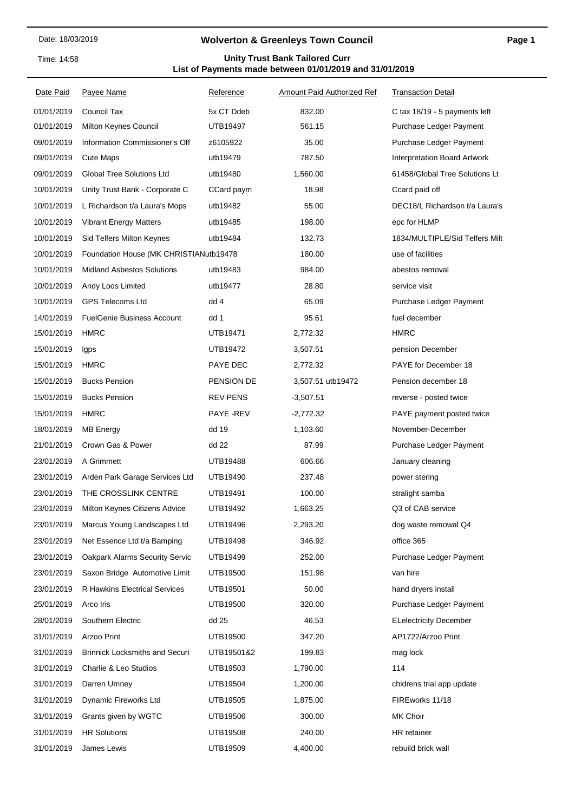Time: 14:58

## **Wolverton & Greenleys Town Council**

## **List of Payments made between 01/01/2019 and 31/01/2019 Unity Trust Bank Tailored Curr**

| Date Paid  | Payee Name                             | Reference       | <b>Amount Paid Authorized Ref</b> | <b>Transaction Detail</b>        |  |
|------------|----------------------------------------|-----------------|-----------------------------------|----------------------------------|--|
| 01/01/2019 | Council Tax                            | 5x CT Ddeb      | 832.00                            | C tax 18/19 - 5 payments left    |  |
| 01/01/2019 | Milton Keynes Council                  | UTB19497        | 561.15                            | Purchase Ledger Payment          |  |
| 09/01/2019 | Information Commissioner's Off         | z6105922        | 35.00                             | Purchase Ledger Payment          |  |
| 09/01/2019 | <b>Cute Maps</b>                       | utb19479        | 787.50                            | Interpretation Board Artwork     |  |
| 09/01/2019 | <b>Global Tree Solutions Ltd</b>       | utb19480        | 1,560.00                          | 61458/Global Tree Solutions Lt   |  |
| 10/01/2019 | Unity Trust Bank - Corporate C         | CCard paym      | 18.98                             | Ccard paid off                   |  |
| 10/01/2019 | L Richardson t/a Laura's Mops          | utb19482        | 55.00                             | DEC18/L Richardson t/a Laura's   |  |
| 10/01/2019 | <b>Vibrant Energy Matters</b>          | utb19485        | 198.00                            | epc for HLMP                     |  |
| 10/01/2019 | Sid Telfers Milton Keynes              | utb19484        | 132.73                            | 1834/MULTIPLE/Sid Telfers Milt   |  |
| 10/01/2019 | Foundation House (MK CHRISTIANutb19478 |                 | 180.00                            | use of facilities                |  |
| 10/01/2019 | <b>Midland Asbestos Solutions</b>      | utb19483        | 984.00                            | abestos removal                  |  |
| 10/01/2019 | Andy Loos Limited                      | utb19477        | 28.80                             | service visit                    |  |
| 10/01/2019 | <b>GPS Telecoms Ltd</b>                | dd 4            | 65.09                             | Purchase Ledger Payment          |  |
| 14/01/2019 | <b>FuelGenie Business Account</b>      | dd 1            | 95.61                             | fuel december                    |  |
| 15/01/2019 | <b>HMRC</b>                            | UTB19471        | 2,772.32                          | <b>HMRC</b>                      |  |
| 15/01/2019 | Igps                                   | UTB19472        | 3,507.51                          | pension December                 |  |
| 15/01/2019 | <b>HMRC</b>                            | PAYE DEC        | 2,772.32                          | PAYE for December 18             |  |
| 15/01/2019 | <b>Bucks Pension</b>                   | PENSION DE      | 3,507.51 utb19472                 | Pension december 18              |  |
| 15/01/2019 | <b>Bucks Pension</b>                   | <b>REV PENS</b> | $-3,507.51$                       | reverse - posted twice           |  |
| 15/01/2019 | <b>HMRC</b>                            | PAYE -REV       | $-2,772.32$                       | <b>PAYE</b> payment posted twice |  |
| 18/01/2019 | <b>MB Energy</b>                       | dd 19           | 1,103.60                          | November-December                |  |
| 21/01/2019 | Crown Gas & Power                      | dd 22           | 87.99                             | Purchase Ledger Payment          |  |
| 23/01/2019 | A Grimmett                             | UTB19488        | 606.66                            | January cleaning                 |  |
| 23/01/2019 | Arden Park Garage Services Ltd         | UTB19490        | 237.48                            | power stering                    |  |
| 23/01/2019 | THE CROSSLINK CENTRE                   | <b>UTB19491</b> | 100.00                            | stralight samba                  |  |
| 23/01/2019 | Milton Keynes Citizens Advice          | UTB19492        | 1,663.25                          | Q3 of CAB service                |  |
| 23/01/2019 | Marcus Young Landscapes Ltd            | UTB19496        | 2,293.20                          | dog waste remowal Q4             |  |
| 23/01/2019 | Net Essence Ltd t/a Bamping            | UTB19498        | 346.92                            | office 365                       |  |
| 23/01/2019 | Oakpark Alarms Security Servic         | UTB19499        | 252.00                            | Purchase Ledger Payment          |  |
| 23/01/2019 | Saxon Bridge Automotive Limit          | UTB19500        | 151.98                            | van hire                         |  |
| 23/01/2019 | R Hawkins Electrical Services          | <b>UTB19501</b> | 50.00                             | hand dryers install              |  |
| 25/01/2019 | Arco Iris                              | UTB19500        | 320.00                            | Purchase Ledger Payment          |  |
| 28/01/2019 | Southern Electric                      | dd 25           | 46.53                             | <b>ELelectricity December</b>    |  |
| 31/01/2019 | Arzoo Print                            | UTB19500        | 347.20                            | AP1722/Arzoo Print               |  |
| 31/01/2019 | <b>Brinnick Locksmiths and Securi</b>  | UTB19501&2      | 199.83                            | mag lock                         |  |
| 31/01/2019 | Charlie & Leo Studios                  | UTB19503        | 1,790.00                          | 114                              |  |
| 31/01/2019 | Darren Umney                           | UTB19504        | 1,200.00                          | chidrens trial app update        |  |
| 31/01/2019 | Dynamic Fireworks Ltd                  | UTB19505        | 1,875.00                          | FIREworks 11/18                  |  |
| 31/01/2019 | Grants given by WGTC                   | UTB19506        | 300.00                            | MK Choir                         |  |
| 31/01/2019 | <b>HR Solutions</b>                    | UTB19508        | 240.00                            | HR retainer                      |  |
| 31/01/2019 | James Lewis                            | UTB19509        | 4,400.00                          | rebuild brick wall               |  |